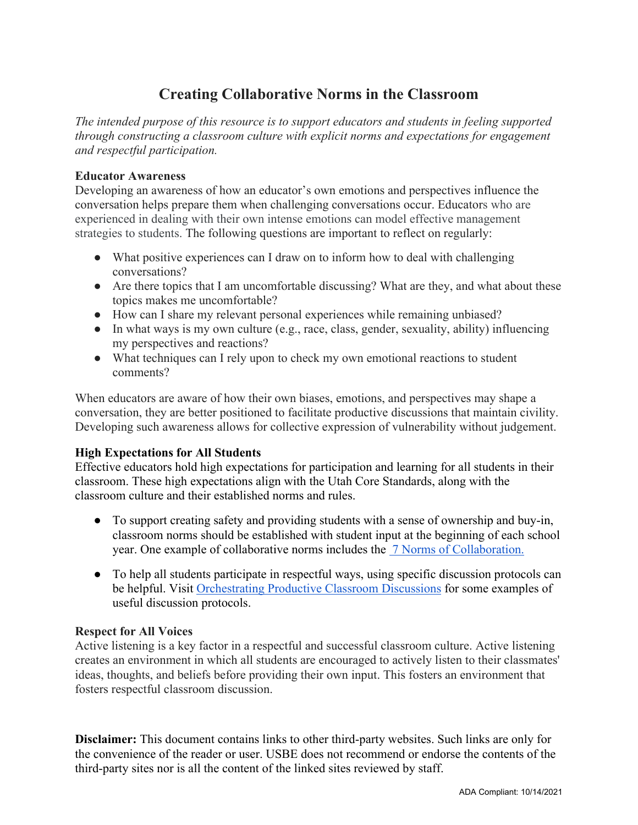# **Creating Collaborative Norms in the Classroom**

*The intended purpose of this resource is to support educators and students in feeling supported through constructing a classroom culture with explicit norms and expectations for engagement and respectful participation.* 

#### **Educator Awareness**

Developing an awareness of how an educator's own emotions and perspectives influence the conversation helps prepare them when challenging conversations occur. Educators who are experienced in dealing with their own intense emotions can model effective management strategies to students. The following questions are important to reflect on regularly:

- What positive experiences can I draw on to inform how to deal with challenging conversations?
- Are there topics that I am uncomfortable discussing? What are they, and what about these topics makes me uncomfortable?
- How can I share my relevant personal experiences while remaining unbiased?
- In what ways is my own culture (e.g., race, class, gender, sexuality, ability) influencing my perspectives and reactions?
- What techniques can I rely upon to check my own emotional reactions to student comments?

When educators are aware of how their own biases, emotions, and perspectives may shape a conversation, they are better positioned to facilitate productive discussions that maintain civility. Developing such awareness allows for collective expression of vulnerability without judgement.

## **High Expectations for All Students**

Effective educators hold high expectations for participation and learning for all students in their classroom. These high expectations align with the Utah Core Standards, along with the classroom culture and their established norms and rules.

- To support creating safety and providing students with a sense of ownership and buy-in, classroom norms should be established with student input at the beginning of each school year. One example of collaborative norms includes the [7 Norms of Collaboration.](https://www.spartanburg7.org/cms/lib/SC02205954/Centricity/Domain/448/Collaboration%20Norms%20Poster.pdf)
- To help all students participate in respectful ways, using specific discussion protocols can be helpful. Visit [Orchestrating Productive Classroom Discussions](https://www.schools.utah.gov/file/f4aaab20-94c2-4688-8a76-9774fb340268) for some examples of useful discussion protocols.

## **Respect for All Voices**

Active listening is a key factor in a respectful and successful classroom culture. Active listening creates an environment in which all students are encouraged to actively listen to their classmates' ideas, thoughts, and beliefs before providing their own input. This fosters an environment that fosters respectful classroom discussion.

**Disclaimer:** This document contains links to other third-party websites. Such links are only for the convenience of the reader or user. USBE does not recommend or endorse the contents of the third-party sites nor is all the content of the linked sites reviewed by staff.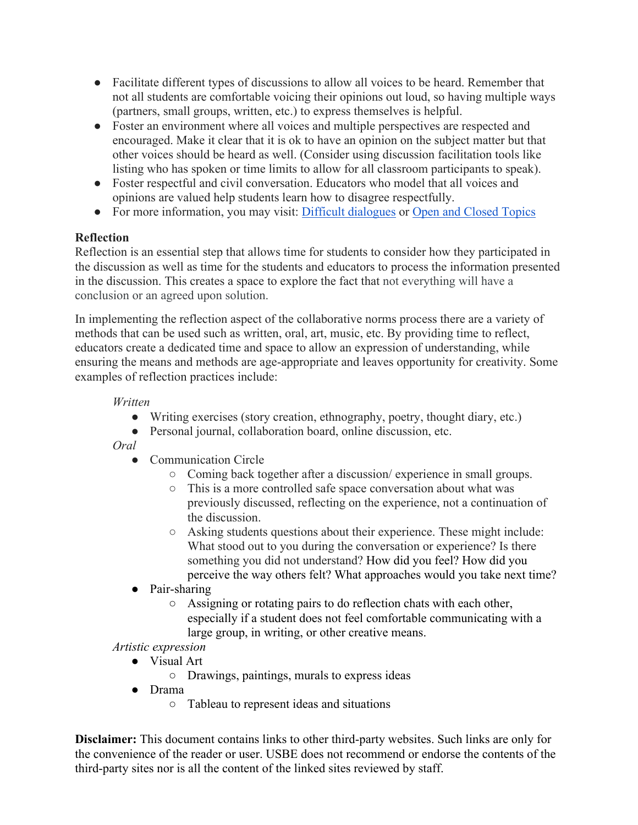- Facilitate different types of discussions to allow all voices to be heard. Remember that not all students are comfortable voicing their opinions out loud, so having multiple ways (partners, small groups, written, etc.) to express themselves is helpful.
- Foster an environment where all voices and multiple perspectives are respected and encouraged. Make it clear that it is ok to have an opinion on the subject matter but that other voices should be heard as well. (Consider using discussion facilitation tools like listing who has spoken or time limits to allow for all classroom participants to speak).
- Foster respectful and civil conversation. Educators who model that all voices and opinions are valued help students learn how to disagree respectfully.
- For more information, you may visit: [Difficult dialogues](https://cft.vanderbilt.edu/guides-sub-pages/difficult-dialogues/) or [Open and Closed Topics](https://www.schools.utah.gov/educationalequity/resources)

## **Reflection**

Reflection is an essential step that allows time for students to consider how they participated in the discussion as well as time for the students and educators to process the information presented in the discussion. This creates a space to explore the fact that not everything will have a conclusion or an agreed upon solution.

In implementing the reflection aspect of the collaborative norms process there are a variety of methods that can be used such as written, oral, art, music, etc. By providing time to reflect, educators create a dedicated time and space to allow an expression of understanding, while ensuring the means and methods are age-appropriate and leaves opportunity for creativity. Some examples of reflection practices include:

## *Written*

- Writing exercises (story creation, ethnography, poetry, thought diary, etc.)
- Personal journal, collaboration board, online discussion, etc.
- *Oral*
	- Communication Circle
		- Coming back together after a discussion/ experience in small groups.
		- This is a more controlled safe space conversation about what was previously discussed, reflecting on the experience, not a continuation of the discussion.
		- Asking students questions about their experience. These might include: What stood out to you during the conversation or experience? Is there something you did not understand? How did you feel? How did you perceive the way others felt? What approaches would you take next time?
	- Pair-sharing
		- Assigning or rotating pairs to do reflection chats with each other, especially if a student does not feel comfortable communicating with a large group, in writing, or other creative means.

## *Artistic expression*

- Visual Art
	- Drawings, paintings, murals to express ideas
- Drama
	- Tableau to represent ideas and situations

**Disclaimer:** This document contains links to other third-party websites. Such links are only for the convenience of the reader or user. USBE does not recommend or endorse the contents of the third-party sites nor is all the content of the linked sites reviewed by staff.